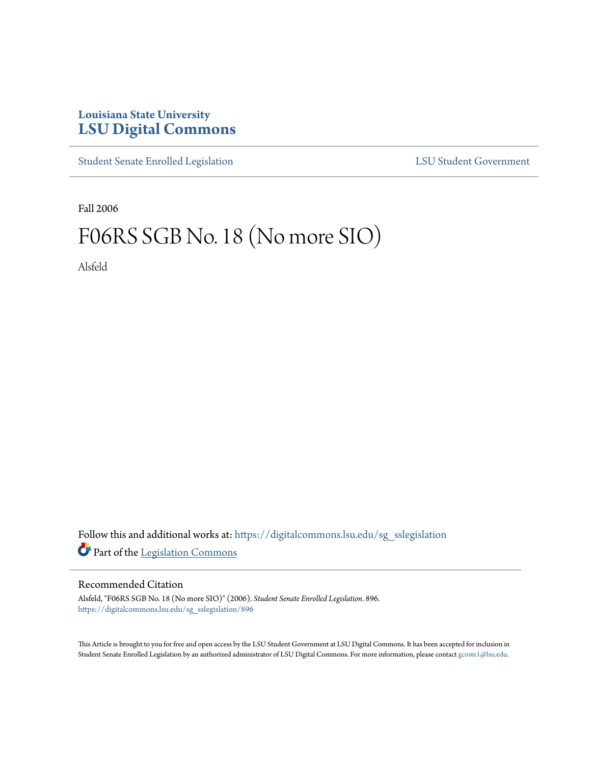## **Louisiana State University [LSU Digital Commons](https://digitalcommons.lsu.edu?utm_source=digitalcommons.lsu.edu%2Fsg_sslegislation%2F896&utm_medium=PDF&utm_campaign=PDFCoverPages)**

[Student Senate Enrolled Legislation](https://digitalcommons.lsu.edu/sg_sslegislation?utm_source=digitalcommons.lsu.edu%2Fsg_sslegislation%2F896&utm_medium=PDF&utm_campaign=PDFCoverPages) [LSU Student Government](https://digitalcommons.lsu.edu/sg?utm_source=digitalcommons.lsu.edu%2Fsg_sslegislation%2F896&utm_medium=PDF&utm_campaign=PDFCoverPages)

Fall 2006

## F06RS SGB No. 18 (No more SIO)

Alsfeld

Follow this and additional works at: [https://digitalcommons.lsu.edu/sg\\_sslegislation](https://digitalcommons.lsu.edu/sg_sslegislation?utm_source=digitalcommons.lsu.edu%2Fsg_sslegislation%2F896&utm_medium=PDF&utm_campaign=PDFCoverPages) Part of the [Legislation Commons](http://network.bepress.com/hgg/discipline/859?utm_source=digitalcommons.lsu.edu%2Fsg_sslegislation%2F896&utm_medium=PDF&utm_campaign=PDFCoverPages)

## Recommended Citation

Alsfeld, "F06RS SGB No. 18 (No more SIO)" (2006). *Student Senate Enrolled Legislation*. 896. [https://digitalcommons.lsu.edu/sg\\_sslegislation/896](https://digitalcommons.lsu.edu/sg_sslegislation/896?utm_source=digitalcommons.lsu.edu%2Fsg_sslegislation%2F896&utm_medium=PDF&utm_campaign=PDFCoverPages)

This Article is brought to you for free and open access by the LSU Student Government at LSU Digital Commons. It has been accepted for inclusion in Student Senate Enrolled Legislation by an authorized administrator of LSU Digital Commons. For more information, please contact [gcoste1@lsu.edu.](mailto:gcoste1@lsu.edu)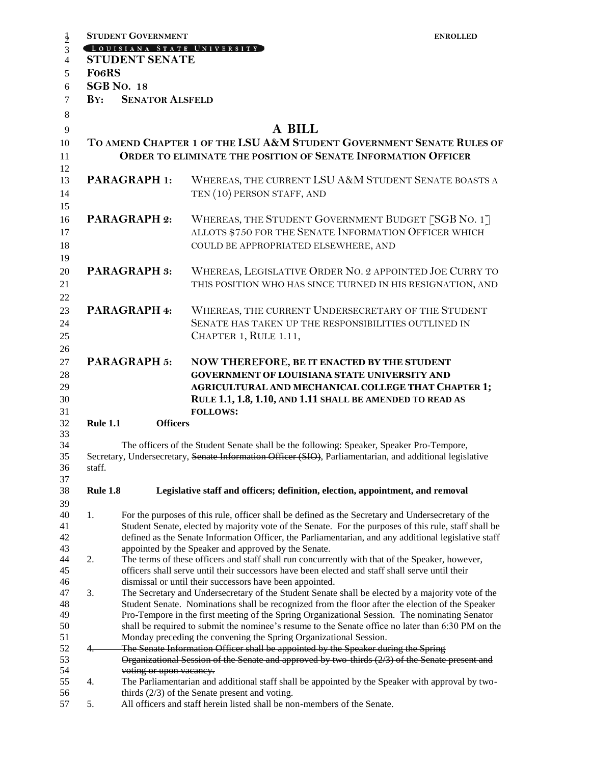|                                                                                          | <b>STUDENT GOVERNMENT</b>                                                                                                                                                                          | <b>ENROLLED</b>                                                                                                              |  |  |  |  |
|------------------------------------------------------------------------------------------|----------------------------------------------------------------------------------------------------------------------------------------------------------------------------------------------------|------------------------------------------------------------------------------------------------------------------------------|--|--|--|--|
|                                                                                          |                                                                                                                                                                                                    | LOUISIANA STATE UNIVERSITY                                                                                                   |  |  |  |  |
|                                                                                          | <b>STUDENT SENATE</b>                                                                                                                                                                              |                                                                                                                              |  |  |  |  |
| <b>FO6RS</b>                                                                             |                                                                                                                                                                                                    |                                                                                                                              |  |  |  |  |
|                                                                                          | <b>SGB No. 18</b>                                                                                                                                                                                  |                                                                                                                              |  |  |  |  |
| $\mathbf{B} \mathbf{Y}$ :                                                                | <b>SENATOR ALSFELD</b>                                                                                                                                                                             |                                                                                                                              |  |  |  |  |
|                                                                                          |                                                                                                                                                                                                    |                                                                                                                              |  |  |  |  |
|                                                                                          |                                                                                                                                                                                                    | A BILL                                                                                                                       |  |  |  |  |
|                                                                                          |                                                                                                                                                                                                    | TO AMEND CHAPTER 1 OF THE LSU A&M STUDENT GOVERNMENT SENATE RULES OF                                                         |  |  |  |  |
|                                                                                          |                                                                                                                                                                                                    | ORDER TO ELIMINATE THE POSITION OF SENATE INFORMATION OFFICER                                                                |  |  |  |  |
|                                                                                          |                                                                                                                                                                                                    |                                                                                                                              |  |  |  |  |
|                                                                                          | <b>PARAGRAPH 1:</b>                                                                                                                                                                                | WHEREAS, THE CURRENT LSU A&M STUDENT SENATE BOASTS A                                                                         |  |  |  |  |
|                                                                                          |                                                                                                                                                                                                    | TEN (10) PERSON STAFF, AND                                                                                                   |  |  |  |  |
|                                                                                          |                                                                                                                                                                                                    |                                                                                                                              |  |  |  |  |
|                                                                                          |                                                                                                                                                                                                    |                                                                                                                              |  |  |  |  |
| <b>PARAGRAPH 2:</b>                                                                      |                                                                                                                                                                                                    | WHEREAS, THE STUDENT GOVERNMENT BUDGET [SGB NO. 1]                                                                           |  |  |  |  |
|                                                                                          |                                                                                                                                                                                                    | ALLOTS \$750 FOR THE SENATE INFORMATION OFFICER WHICH                                                                        |  |  |  |  |
|                                                                                          |                                                                                                                                                                                                    | COULD BE APPROPRIATED ELSEWHERE, AND                                                                                         |  |  |  |  |
|                                                                                          |                                                                                                                                                                                                    |                                                                                                                              |  |  |  |  |
| <b>PARAGRAPH 3:</b>                                                                      |                                                                                                                                                                                                    | WHEREAS, LEGISLATIVE ORDER NO. 2 APPOINTED JOE CURRY TO                                                                      |  |  |  |  |
|                                                                                          |                                                                                                                                                                                                    | THIS POSITION WHO HAS SINCE TURNED IN HIS RESIGNATION, AND                                                                   |  |  |  |  |
|                                                                                          |                                                                                                                                                                                                    |                                                                                                                              |  |  |  |  |
| PARAGRAPH 4:                                                                             |                                                                                                                                                                                                    | WHEREAS, THE CURRENT UNDERSECRETARY OF THE STUDENT                                                                           |  |  |  |  |
|                                                                                          |                                                                                                                                                                                                    | SENATE HAS TAKEN UP THE RESPONSIBILITIES OUTLINED IN                                                                         |  |  |  |  |
|                                                                                          |                                                                                                                                                                                                    | CHAPTER 1, RULE 1.11,                                                                                                        |  |  |  |  |
|                                                                                          |                                                                                                                                                                                                    |                                                                                                                              |  |  |  |  |
|                                                                                          | <b>PARAGRAPH 5:</b>                                                                                                                                                                                | NOW THEREFORE, BE IT ENACTED BY THE STUDENT                                                                                  |  |  |  |  |
|                                                                                          |                                                                                                                                                                                                    | <b>GOVERNMENT OF LOUISIANA STATE UNIVERSITY AND</b>                                                                          |  |  |  |  |
|                                                                                          |                                                                                                                                                                                                    | <b>AGRICULTURAL AND MECHANICAL COLLEGE THAT CHAPTER 1;</b>                                                                   |  |  |  |  |
|                                                                                          |                                                                                                                                                                                                    | RULE 1.1, 1.8, 1.10, AND 1.11 SHALL BE AMENDED TO READ AS                                                                    |  |  |  |  |
|                                                                                          |                                                                                                                                                                                                    | <b>FOLLOWS:</b>                                                                                                              |  |  |  |  |
| <b>Rule 1.1</b>                                                                          | <b>Officers</b>                                                                                                                                                                                    |                                                                                                                              |  |  |  |  |
|                                                                                          |                                                                                                                                                                                                    | The officers of the Student Senate shall be the following: Speaker, Speaker Pro-Tempore,                                     |  |  |  |  |
|                                                                                          |                                                                                                                                                                                                    | Secretary, Undersecretary, Senate Information Officer (SIO), Parliamentarian, and additional legislative                     |  |  |  |  |
| staff.                                                                                   |                                                                                                                                                                                                    |                                                                                                                              |  |  |  |  |
|                                                                                          |                                                                                                                                                                                                    |                                                                                                                              |  |  |  |  |
| <b>Rule 1.8</b>                                                                          |                                                                                                                                                                                                    | Legislative staff and officers; definition, election, appointment, and removal                                               |  |  |  |  |
|                                                                                          |                                                                                                                                                                                                    |                                                                                                                              |  |  |  |  |
| 1.                                                                                       | For the purposes of this rule, officer shall be defined as the Secretary and Undersecretary of the                                                                                                 |                                                                                                                              |  |  |  |  |
|                                                                                          | Student Senate, elected by majority vote of the Senate. For the purposes of this rule, staff shall be                                                                                              |                                                                                                                              |  |  |  |  |
|                                                                                          | defined as the Senate Information Officer, the Parliamentarian, and any additional legislative staff                                                                                               |                                                                                                                              |  |  |  |  |
|                                                                                          |                                                                                                                                                                                                    | appointed by the Speaker and approved by the Senate.                                                                         |  |  |  |  |
| 2.                                                                                       | The terms of these officers and staff shall run concurrently with that of the Speaker, however,<br>officers shall serve until their successors have been elected and staff shall serve until their |                                                                                                                              |  |  |  |  |
|                                                                                          | dismissal or until their successors have been appointed.                                                                                                                                           |                                                                                                                              |  |  |  |  |
| 3.                                                                                       | The Secretary and Undersecretary of the Student Senate shall be elected by a majority vote of the                                                                                                  |                                                                                                                              |  |  |  |  |
|                                                                                          |                                                                                                                                                                                                    | Student Senate. Nominations shall be recognized from the floor after the election of the Speaker                             |  |  |  |  |
|                                                                                          |                                                                                                                                                                                                    | Pro-Tempore in the first meeting of the Spring Organizational Session. The nominating Senator                                |  |  |  |  |
|                                                                                          | shall be required to submit the nominee's resume to the Senate office no later than 6:30 PM on the                                                                                                 |                                                                                                                              |  |  |  |  |
|                                                                                          | Monday preceding the convening the Spring Organizational Session.                                                                                                                                  |                                                                                                                              |  |  |  |  |
| The Senate Information Officer shall be appointed by the Speaker during the Spring<br>4. |                                                                                                                                                                                                    |                                                                                                                              |  |  |  |  |
|                                                                                          |                                                                                                                                                                                                    | Organizational Session of the Senate and approved by two thirds (2/3) of the Senate present and                              |  |  |  |  |
|                                                                                          | voting or upon vacancy.                                                                                                                                                                            |                                                                                                                              |  |  |  |  |
| 4.                                                                                       |                                                                                                                                                                                                    | The Parliamentarian and additional staff shall be appointed by the Speaker with approval by two-                             |  |  |  |  |
|                                                                                          |                                                                                                                                                                                                    | thirds $(2/3)$ of the Senate present and voting.<br>All officers and staff herein listed shall be non-members of the Senate. |  |  |  |  |
| 5.                                                                                       |                                                                                                                                                                                                    |                                                                                                                              |  |  |  |  |